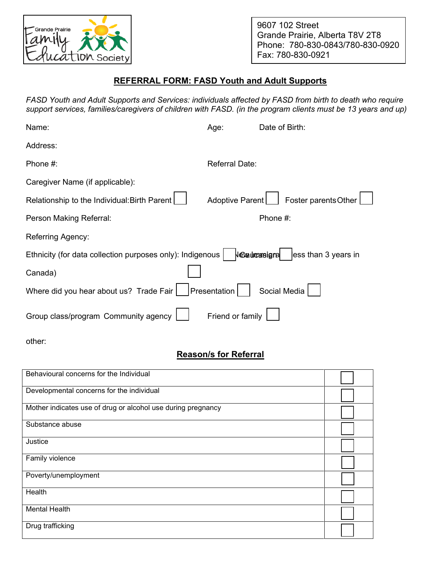

9607 102 Street Grande Prairie, Alberta T8V 2T8 Phone: 780-830-0843/780-830-0920 Fax: 780-830-0921

## **REFERRAL FORM: FASD Youth and Adult Supports**

*FASD Youth and Adult Supports and Services: individuals affected by FASD from birth to death who require support services, families/caregivers of children with FASD. (in the program clients must be 13 years and up)* 

| Name:                                                     | Age:                  | Date of Birth:       |
|-----------------------------------------------------------|-----------------------|----------------------|
| Address:                                                  |                       |                      |
| Phone #:                                                  | <b>Referral Date:</b> |                      |
| Caregiver Name (if applicable):                           |                       |                      |
| Relationship to the Individual: Birth Parent              | Adoptive Parent       | Foster parents Other |
| Person Making Referral:                                   |                       | Phone #:             |
| Referring Agency:                                         |                       |                      |
| Ethnicity (for data collection purposes only): Indigenous | Vevaurousigna         | ess than 3 years in  |
| Canada)                                                   |                       |                      |
| Where did you hear about us? Trade Fair                   | Presentation          | Social Media         |
| Group class/program Community agency                      | Friend or family      |                      |

other:

## **Reason/s for Referral**

| Behavioural concerns for the Individual                      |  |
|--------------------------------------------------------------|--|
| Developmental concerns for the individual                    |  |
| Mother indicates use of drug or alcohol use during pregnancy |  |
| Substance abuse                                              |  |
| Justice                                                      |  |
| Family violence                                              |  |
| Poverty/unemployment                                         |  |
| Health                                                       |  |
| <b>Mental Health</b>                                         |  |
| Drug trafficking                                             |  |